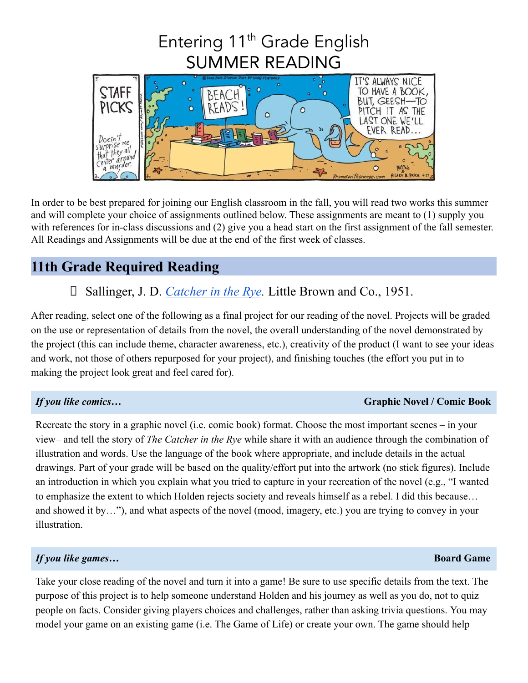# Entering 11<sup>th</sup> Grade English SUMMER READING



In order to be best prepared for joining our English classroom in the fall, you will read two works this summer and will complete your choice of assignments outlined below. These assignments are meant to (1) supply you with references for in-class discussions and (2) give you a head start on the first assignment of the fall semester. All Readings and Assignments will be due at the end of the first week of classes.

# **11th Grade Required Reading**

# □ Sallinger, J. D. *[Catcher in the Rye](https://www.amazon.com/Catcher-Rye-J-D-Salinger/dp/0316769487)*. Little Brown and Co., 1951.

After reading, select one of the following as a final project for our reading of the novel. Projects will be graded on the use or representation of details from the novel, the overall understanding of the novel demonstrated by the project (this can include theme, character awareness, etc.), creativity of the product (I want to see your ideas and work, not those of others repurposed for your project), and finishing touches (the effort you put in to making the project look great and feel cared for).

### *If you like comics…* **Graphic Novel / Comic Book**

Recreate the story in a graphic novel (i.e. comic book) format. Choose the most important scenes – in your view– and tell the story of *The Catcher in the Rye* while share it with an audience through the combination of illustration and words. Use the language of the book where appropriate, and include details in the actual drawings. Part of your grade will be based on the quality/effort put into the artwork (no stick figures). Include an introduction in which you explain what you tried to capture in your recreation of the novel (e.g., "I wanted to emphasize the extent to which Holden rejects society and reveals himself as a rebel. I did this because… and showed it by…"), and what aspects of the novel (mood, imagery, etc.) you are trying to convey in your illustration.

## *If you like games…* **Board Game**

Take your close reading of the novel and turn it into a game! Be sure to use specific details from the text. The purpose of this project is to help someone understand Holden and his journey as well as you do, not to quiz people on facts. Consider giving players choices and challenges, rather than asking trivia questions. You may model your game on an existing game (i.e. The Game of Life) or create your own. The game should help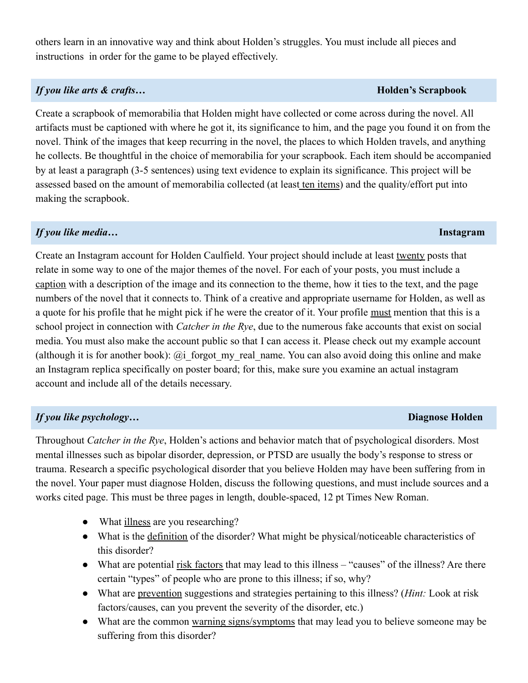others learn in an innovative way and think about Holden's struggles. You must include all pieces and instructions in order for the game to be played effectively.

#### *If you like arts & crafts…* **Holden's Scrapbook**

Create a scrapbook of memorabilia that Holden might have collected or come across during the novel. All artifacts must be captioned with where he got it, its significance to him, and the page you found it on from the novel. Think of the images that keep recurring in the novel, the places to which Holden travels, and anything he collects. Be thoughtful in the choice of memorabilia for your scrapbook. Each item should be accompanied by at least a paragraph (3-5 sentences) using text evidence to explain its significance. This project will be assessed based on the amount of memorabilia collected (at least ten items) and the quality/effort put into making the scrapbook.

### *If you like media…* **Instagram**

Create an Instagram account for Holden Caulfield. Your project should include at least twenty posts that relate in some way to one of the major themes of the novel. For each of your posts, you must include a caption with a description of the image and its connection to the theme, how it ties to the text, and the page numbers of the novel that it connects to. Think of a creative and appropriate username for Holden, as well as a quote for his profile that he might pick if he were the creator of it. Your profile must mention that this is a school project in connection with *Catcher in the Rye*, due to the numerous fake accounts that exist on social media. You must also make the account public so that I can access it. Please check out my example account (although it is for another book): @i forgot my real name. You can also avoid doing this online and make an Instagram replica specifically on poster board; for this, make sure you examine an actual instagram account and include all of the details necessary.

### *If you like psychology…* **Diagnose Holden**

Throughout *Catcher in the Rye*, Holden's actions and behavior match that of psychological disorders. Most mental illnesses such as bipolar disorder, depression, or PTSD are usually the body's response to stress or trauma. Research a specific psychological disorder that you believe Holden may have been suffering from in the novel. Your paper must diagnose Holden, discuss the following questions, and must include sources and a works cited page. This must be three pages in length, double-spaced, 12 pt Times New Roman.

- What illness are you researching?
- What is the definition of the disorder? What might be physical/noticeable characteristics of this disorder?
- What are potential risk factors that may lead to this illness "causes" of the illness? Are there certain "types" of people who are prone to this illness; if so, why?
- What are prevention suggestions and strategies pertaining to this illness? (*Hint:* Look at risk factors/causes, can you prevent the severity of the disorder, etc.)
- What are the common warning signs/symptoms that may lead you to believe someone may be suffering from this disorder?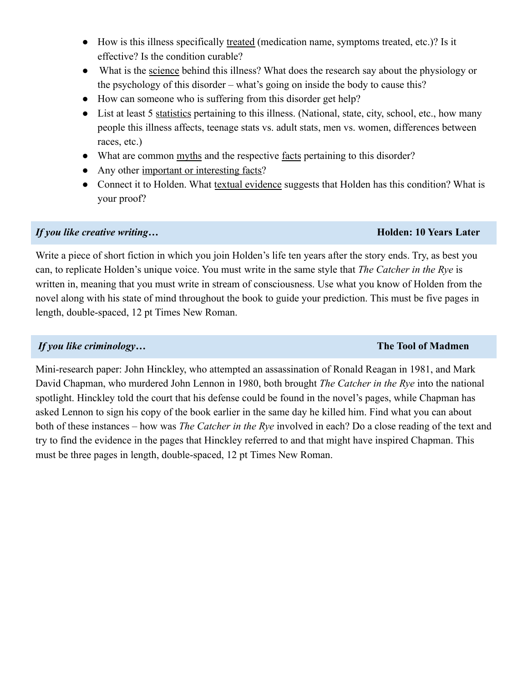- How is this illness specifically treated (medication name, symptoms treated, etc.)? Is it effective? Is the condition curable?
- What is the science behind this illness? What does the research say about the physiology or the psychology of this disorder – what's going on inside the body to cause this?
- How can someone who is suffering from this disorder get help?
- List at least 5 statistics pertaining to this illness. (National, state, city, school, etc., how many people this illness affects, teenage stats vs. adult stats, men vs. women, differences between races, etc.)
- What are common myths and the respective facts pertaining to this disorder?
- Any other important or interesting facts?
- Connect it to Holden. What textual evidence suggests that Holden has this condition? What is your proof?

#### *If you like creative writing…* **Holden: 10 Years Later**

Write a piece of short fiction in which you join Holden's life ten years after the story ends. Try, as best you can, to replicate Holden's unique voice. You must write in the same style that *The Catcher in the Rye* is written in, meaning that you must write in stream of consciousness. Use what you know of Holden from the novel along with his state of mind throughout the book to guide your prediction. This must be five pages in length, double-spaced, 12 pt Times New Roman.

#### *If you like criminology…* **The Tool of Madmen**

Mini-research paper: John Hinckley, who attempted an assassination of Ronald Reagan in 1981, and Mark David Chapman, who murdered John Lennon in 1980, both brought *The Catcher in the Rye* into the national spotlight. Hinckley told the court that his defense could be found in the novel's pages, while Chapman has asked Lennon to sign his copy of the book earlier in the same day he killed him. Find what you can about both of these instances – how was *The Catcher in the Rye* involved in each? Do a close reading of the text and try to find the evidence in the pages that Hinckley referred to and that might have inspired Chapman. This must be three pages in length, double-spaced, 12 pt Times New Roman.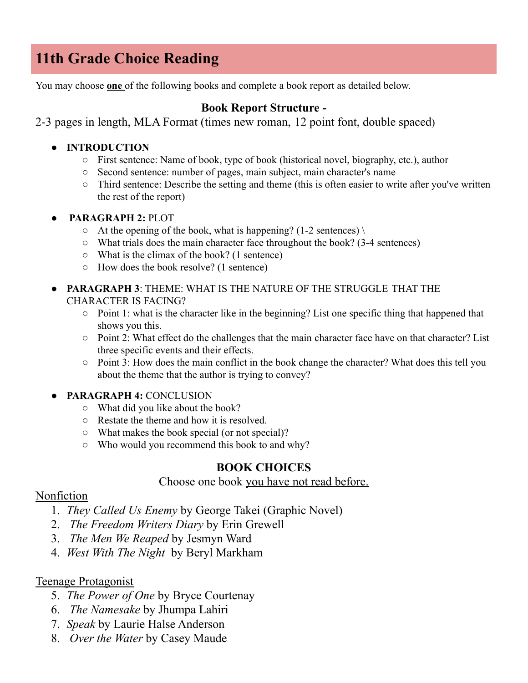# **11th Grade Choice Reading**

You may choose **one** of the following books and complete a book report as detailed below.

## **Book Report Structure -**

2-3 pages in length, MLA Format (times new roman, 12 point font, double spaced)

#### **● INTRODUCTION**

- First sentence: Name of book, type of book (historical novel, biography, etc.), author
- Second sentence: number of pages, main subject, main character's name
- Third sentence: Describe the setting and theme (this is often easier to write after you've written the rest of the report)
- **PARAGRAPH 2:** PLOT
	- $\circ$  At the opening of the book, what is happening? (1-2 sentences) \
	- What trials does the main character face throughout the book? (3-4 sentences)
	- What is the climax of the book? (1 sentence)
	- How does the book resolve? (1 sentence)
- **PARAGRAPH 3**: THEME: WHAT IS THE NATURE OF THE STRUGGLE THAT THE CHARACTER IS FACING?
	- Point 1: what is the character like in the beginning? List one specific thing that happened that shows you this.
	- Point 2: What effect do the challenges that the main character face have on that character? List three specific events and their effects.
	- Point 3: How does the main conflict in the book change the character? What does this tell you about the theme that the author is trying to convey?
- **PARAGRAPH 4:** CONCLUSION
	- What did you like about the book?
	- Restate the theme and how it is resolved.
	- What makes the book special (or not special)?
	- Who would you recommend this book to and why?

### **BOOK CHOICES**

#### Choose one book you have not read before.

### Nonfiction

- 1. *They Called Us Enemy* by George Takei (Graphic Novel)
- 2. *The Freedom Writers Diary* by Erin Grewell
- 3. *The Men We Reaped* by Jesmyn Ward
- 4. *West With The Night* by Beryl Markham

### Teenage Protagonist

- 5. *The Power of One* by Bryce Courtenay
- 6. *The Namesake* by Jhumpa Lahiri
- 7. *Speak* by Laurie Halse Anderson
- 8. *Over the Water* by Casey Maude